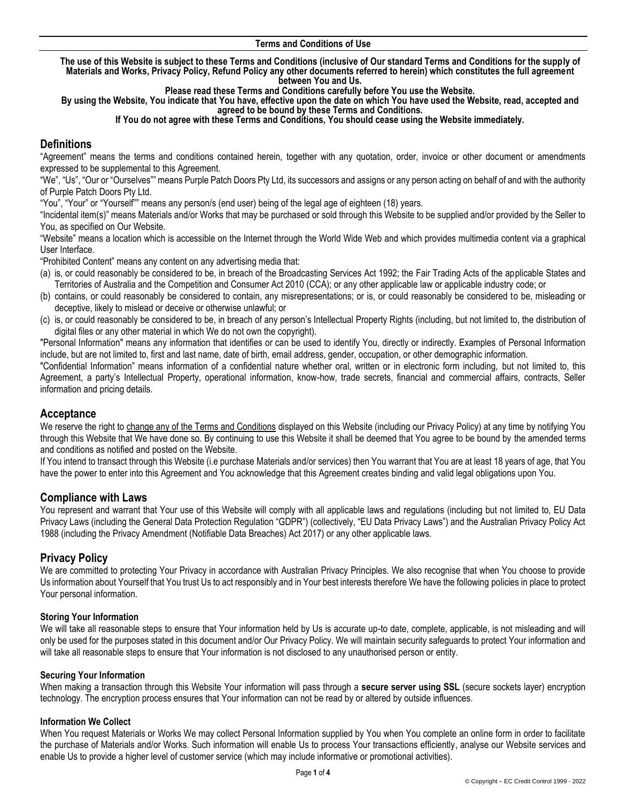#### **Terms and Conditions of Use**

**The use of this Website is subject to these Terms and Conditions (inclusive of Our standard Terms and Conditions for the supply of Materials and Works, Privacy Policy, Refund Policy any other documents referred to herein) which constitutes the full agreement between You and Us.** 

**Please read these Terms and Conditions carefully before You use the Website.** 

**By using the Website, You indicate that You have, effective upon the date on which You have used the Website, read, accepted and agreed to be bound by these Terms and Conditions.**

#### **If You do not agree with these Terms and Conditions, You should cease using the Website immediately.**

# **Definitions**

"Agreement" means the terms and conditions contained herein, together with any quotation, order, invoice or other document or amendments expressed to be supplemental to this Agreement.

"We", "Us", "Our or "Ourselves"" means Purple Patch Doors Pty Ltd, its successors and assigns or any person acting on behalf of and with the authority of Purple Patch Doors Pty Ltd.

"You", "Your" or "Yourself"" means any person/s (end user) being of the legal age of eighteen (18) years.

"Incidental item(s)" means Materials and/or Works that may be purchased or sold through this Website to be supplied and/or provided by the Seller to You, as specified on Our Website.

"Website" means a location which is accessible on the Internet through the World Wide Web and which provides multimedia content via a graphical User Interface.

"Prohibited Content" means any content on any advertising media that:

- (a) is, or could reasonably be considered to be, in breach of the Broadcasting Services Act 1992; the Fair Trading Acts of the applicable States and Territories of Australia and the Competition and Consumer Act 2010 (CCA); or any other applicable law or applicable industry code; or
- (b) contains, or could reasonably be considered to contain, any misrepresentations; or is, or could reasonably be considered to be, misleading or deceptive, likely to mislead or deceive or otherwise unlawful; or
- (c) is, or could reasonably be considered to be, in breach of any person's Intellectual Property Rights (including, but not limited to, the distribution of digital files or any other material in which We do not own the copyright).

"Personal Information" means any information that identifies or can be used to identify You, directly or indirectly. Examples of Personal Information include, but are not limited to, first and last name, date of birth, email address, gender, occupation, or other demographic information.

"Confidential Information" means information of a confidential nature whether oral, written or in electronic form including, but not limited to, this Agreement, a party's Intellectual Property, operational information, know-how, trade secrets, financial and commercial affairs, contracts, Seller information and pricing details.

## **Acceptance**

We reserve the right to change any of the Terms and Conditions displayed on this Website (including our Privacy Policy) at any time by notifying You through this Website that We have done so. By continuing to use this Website it shall be deemed that You agree to be bound by the amended terms and conditions as notified and posted on the Website.

If You intend to transact through this Website (i.e purchase Materials and/or services) then You warrant that You are at least 18 years of age, that You have the power to enter into this Agreement and You acknowledge that this Agreement creates binding and valid legal obligations upon You.

## **Compliance with Laws**

You represent and warrant that Your use of this Website will comply with all applicable laws and regulations (including but not limited to, EU Data Privacy Laws (including the General Data Protection Regulation "GDPR") (collectively, "EU Data Privacy Laws") and the Australian Privacy Policy Act 1988 (including the Privacy Amendment (Notifiable Data Breaches) Act 2017) or any other applicable laws.

## **Privacy Policy**

We are committed to protecting Your Privacy in accordance with Australian Privacy Principles. We also recognise that when You choose to provide Us information about Yourself that You trust Us to act responsibly and in Your best interests therefore We have the following policies in place to protect Your personal information.

#### **Storing Your Information**

We will take all reasonable steps to ensure that Your information held by Us is accurate up-to date, complete, applicable, is not misleading and will only be used for the purposes stated in this document and/or Our Privacy Policy. We will maintain security safeguards to protect Your information and will take all reasonable steps to ensure that Your information is not disclosed to any unauthorised person or entity.

#### **Securing Your Information**

When making a transaction through this Website Your information will pass through a **secure server using SSL** (secure sockets layer) encryption technology. The encryption process ensures that Your information can not be read by or altered by outside influences.

#### **Information We Collect**

When You request Materials or Works We may collect Personal Information supplied by You when You complete an online form in order to facilitate the purchase of Materials and/or Works. Such information will enable Us to process Your transactions efficiently, analyse our Website services and enable Us to provide a higher level of customer service (which may include informative or promotional activities).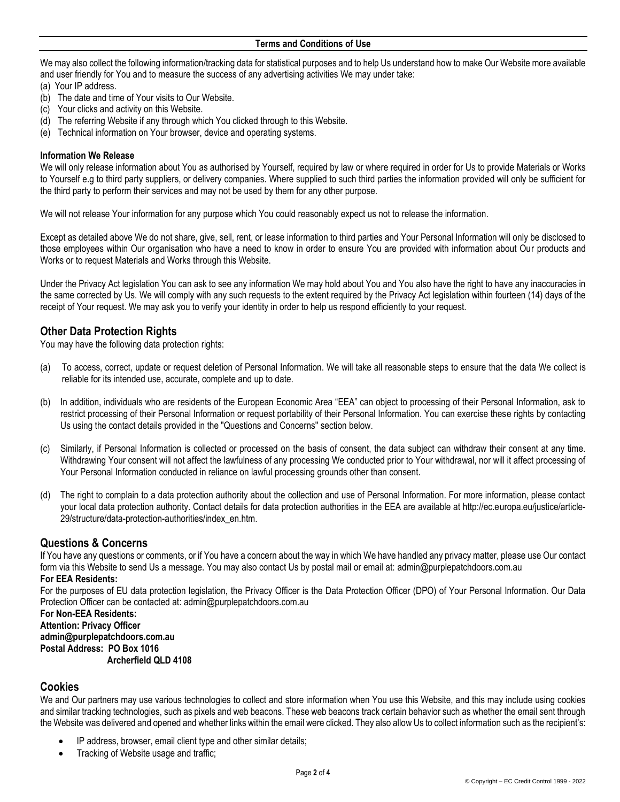We may also collect the following information/tracking data for statistical purposes and to help Us understand how to make Our Website more available and user friendly for You and to measure the success of any advertising activities We may under take:

- (a) Your IP address.
- (b) The date and time of Your visits to Our Website.
- (c) Your clicks and activity on this Website.
- (d) The referring Website if any through which You clicked through to this Website.
- (e) Technical information on Your browser, device and operating systems.

#### **Information We Release**

We will only release information about You as authorised by Yourself, required by law or where required in order for Us to provide Materials or Works to Yourself e.g to third party suppliers, or delivery companies. Where supplied to such third parties the information provided will only be sufficient for the third party to perform their services and may not be used by them for any other purpose.

We will not release Your information for any purpose which You could reasonably expect us not to release the information.

Except as detailed above We do not share, give, sell, rent, or lease information to third parties and Your Personal Information will only be disclosed to those employees within Our organisation who have a need to know in order to ensure You are provided with information about Our products and Works or to request Materials and Works through this Website.

Under the Privacy Act legislation You can ask to see any information We may hold about You and You also have the right to have any inaccuracies in the same corrected by Us. We will comply with any such requests to the extent required by the Privacy Act legislation within fourteen (14) days of the receipt of Your request. We may ask you to verify your identity in order to help us respond efficiently to your request.

## **Other Data Protection Rights**

You may have the following data protection rights:

- (a) To access, correct, update or request deletion of Personal Information. We will take all reasonable steps to ensure that the data We collect is reliable for its intended use, accurate, complete and up to date.
- (b) In addition, individuals who are residents of the European Economic Area "EEA" can object to processing of their Personal Information, ask to restrict processing of their Personal Information or request portability of their Personal Information. You can exercise these rights by contacting Us using the contact details provided in the "Questions and Concerns" section below.
- (c) Similarly, if Personal Information is collected or processed on the basis of consent, the data subject can withdraw their consent at any time. Withdrawing Your consent will not affect the lawfulness of any processing We conducted prior to Your withdrawal, nor will it affect processing of Your Personal Information conducted in reliance on lawful processing grounds other than consent.
- (d) The right to complain to a data protection authority about the collection and use of Personal Information. For more information, please contact your local data protection authority. Contact details for data protection authorities in the EEA are available at http://ec.europa.eu/justice/article-29/structure/data-protection-authorities/index\_en.htm.

# **Questions & Concerns**

If You have any questions or comments, or if You have a concern about the way in which We have handled any privacy matter, please use Ou[r contact](https://mailchimp.com/contact/)  [form](https://mailchimp.com/contact/) via this Website to send Us a message. You may also contact Us by postal mail or email at: admin@purplepatchdoors.com.au

## **For EEA Residents:**

For the purposes of EU data protection legislation, the Privacy Officer is the Data Protection Officer (DPO) of Your Personal Information. Our Data Protection Officer can be contacted at: admin@purplepatchdoors.com.au

**For Non-EEA Residents: Attention: Privacy Officer admin@purplepatchdoors.com.au Postal Address: PO Box 1016 Archerfield QLD 4108**

## **Cookies**

We and Our partners may use various technologies to collect and store information when You use this Website, and this may include using cookies and similar tracking technologies, such as pixels and web beacons. These web beacons track certain behavior such as whether the email sent through the Website was delivered and opened and whether links within the email were clicked. They also allow Us to collect information such as the recipient's:

- IP address, browser, email client type and other similar details;
- Tracking of Website usage and traffic;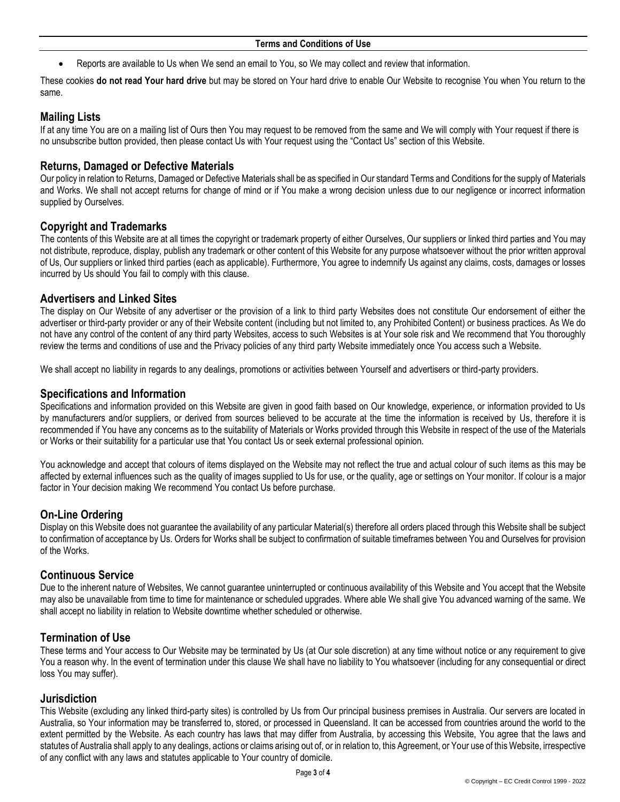• Reports are available to Us when We send an email to You, so We may collect and review that information.

These cookies **do not read Your hard drive** but may be stored on Your hard drive to enable Our Website to recognise You when You return to the same.

# **Mailing Lists**

If at any time You are on a mailing list of Ours then You may request to be removed from the same and We will comply with Your request if there is no unsubscribe button provided, then please contact Us with Your request using the "Contact Us" section of this Website.

## **Returns, Damaged or Defective Materials**

Our policy in relation to Returns, Damaged or Defective Materials shall be as specified in Our standard Terms and Conditions for the supply of Materials and Works. We shall not accept returns for change of mind or if You make a wrong decision unless due to our negligence or incorrect information supplied by Ourselves.

## **Copyright and Trademarks**

The contents of this Website are at all times the copyright or trademark property of either Ourselves, Our suppliers or linked third parties and You may not distribute, reproduce, display, publish any trademark or other content of this Website for any purpose whatsoever without the prior written approval of Us, Our suppliers or linked third parties (each as applicable). Furthermore, You agree to indemnify Us against any claims, costs, damages or losses incurred by Us should You fail to comply with this clause.

## **Advertisers and Linked Sites**

The display on Our Website of any advertiser or the provision of a link to third party Websites does not constitute Our endorsement of either the advertiser or third-party provider or any of their Website content (including but not limited to, any Prohibited Content) or business practices. As We do not have any control of the content of any third party Websites, access to such Websites is at Your sole risk and We recommend that You thoroughly review the terms and conditions of use and the Privacy policies of any third party Website immediately once You access such a Website.

We shall accept no liability in regards to any dealings, promotions or activities between Yourself and advertisers or third-party providers.

## **Specifications and Information**

Specifications and information provided on this Website are given in good faith based on Our knowledge, experience, or information provided to Us by manufacturers and/or suppliers, or derived from sources believed to be accurate at the time the information is received by Us, therefore it is recommended if You have any concerns as to the suitability of Materials or Works provided through this Website in respect of the use of the Materials or Works or their suitability for a particular use that You contact Us or seek external professional opinion.

You acknowledge and accept that colours of items displayed on the Website may not reflect the true and actual colour of such items as this may be affected by external influences such as the quality of images supplied to Us for use, or the quality, age or settings on Your monitor. If colour is a major factor in Your decision making We recommend You contact Us before purchase.

## **On-Line Ordering**

Display on this Website does not guarantee the availability of any particular Material(s) therefore all orders placed through this Website shall be subject to confirmation of acceptance by Us. Orders for Works shall be subject to confirmation of suitable timeframes between You and Ourselves for provision of the Works.

## **Continuous Service**

Due to the inherent nature of Websites, We cannot guarantee uninterrupted or continuous availability of this Website and You accept that the Website may also be unavailable from time to time for maintenance or scheduled upgrades. Where able We shall give You advanced warning of the same. We shall accept no liability in relation to Website downtime whether scheduled or otherwise.

## **Termination of Use**

These terms and Your access to Our Website may be terminated by Us (at Our sole discretion) at any time without notice or any requirement to give You a reason why. In the event of termination under this clause We shall have no liability to You whatsoever (including for any consequential or direct loss You may suffer).

## **Jurisdiction**

This Website (excluding any linked third-party sites) is controlled by Us from Our principal business premises in Australia. Our servers are located in Australia, so Your information may be transferred to, stored, or processed in Queensland. It can be accessed from countries around the world to the extent permitted by the Website. As each country has laws that may differ from Australia, by accessing this Website, You agree that the laws and statutes of Australia shall apply to any dealings, actions or claims arising out of, or in relation to, this Agreement, or Your use of this Website, irrespective of any conflict with any laws and statutes applicable to Your country of domicile.